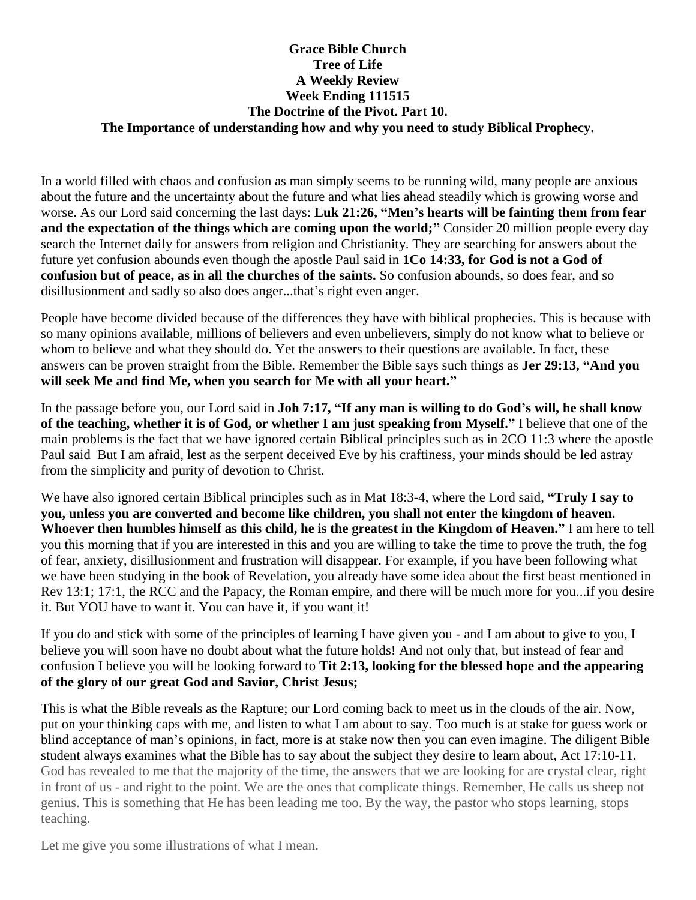#### **Grace Bible Church Tree of Life A Weekly Review Week Ending 111515 The Doctrine of the Pivot. Part 10. The Importance of understanding how and why you need to study Biblical Prophecy.**

In a world filled with chaos and confusion as man simply seems to be running wild, many people are anxious about the future and the uncertainty about the future and what lies ahead steadily which is growing worse and worse. As our Lord said concerning the last days: **Luk 21:26, "Men's hearts will be fainting them from fear and the expectation of the things which are coming upon the world;"** Consider 20 million people every day search the Internet daily for answers from religion and Christianity. They are searching for answers about the future yet confusion abounds even though the apostle Paul said in **1Co 14:33, for God is not a God of confusion but of peace, as in all the churches of the saints.** So confusion abounds, so does fear, and so disillusionment and sadly so also does anger...that's right even anger.

People have become divided because of the differences they have with biblical prophecies. This is because with so many opinions available, millions of believers and even unbelievers, simply do not know what to believe or whom to believe and what they should do. Yet the answers to their questions are available. In fact, these answers can be proven straight from the Bible. Remember the Bible says such things as **Jer 29:13, "And you will seek Me and find Me, when you search for Me with all your heart."**

In the passage before you, our Lord said in **Joh 7:17, "If any man is willing to do God's will, he shall know of the teaching, whether it is of God, or whether I am just speaking from Myself."** I believe that one of the main problems is the fact that we have ignored certain Biblical principles such as in 2CO 11:3 where the apostle Paul said But I am afraid, lest as the serpent deceived Eve by his craftiness, your minds should be led astray from the simplicity and purity of devotion to Christ.

We have also ignored certain Biblical principles such as in Mat 18:3-4, where the Lord said, **"Truly I say to you, unless you are converted and become like children, you shall not enter the kingdom of heaven. Whoever then humbles himself as this child, he is the greatest in the Kingdom of Heaven."** I am here to tell you this morning that if you are interested in this and you are willing to take the time to prove the truth, the fog of fear, anxiety, disillusionment and frustration will disappear. For example, if you have been following what we have been studying in the book of Revelation, you already have some idea about the first beast mentioned in Rev 13:1; 17:1, the RCC and the Papacy, the Roman empire, and there will be much more for you...if you desire it. But YOU have to want it. You can have it, if you want it!

If you do and stick with some of the principles of learning I have given you - and I am about to give to you, I believe you will soon have no doubt about what the future holds! And not only that, but instead of fear and confusion I believe you will be looking forward to **Tit 2:13, looking for the blessed hope and the appearing of the glory of our great God and Savior, Christ Jesus;**

This is what the Bible reveals as the Rapture; our Lord coming back to meet us in the clouds of the air. Now, put on your thinking caps with me, and listen to what I am about to say. Too much is at stake for guess work or blind acceptance of man's opinions, in fact, more is at stake now then you can even imagine. The diligent Bible student always examines what the Bible has to say about the subject they desire to learn about, Act 17:10-11. God has revealed to me that the majority of the time, the answers that we are looking for are crystal clear, right in front of us - and right to the point. We are the ones that complicate things. Remember, He calls us sheep not genius. This is something that He has been leading me too. By the way, the pastor who stops learning, stops teaching.

Let me give you some illustrations of what I mean.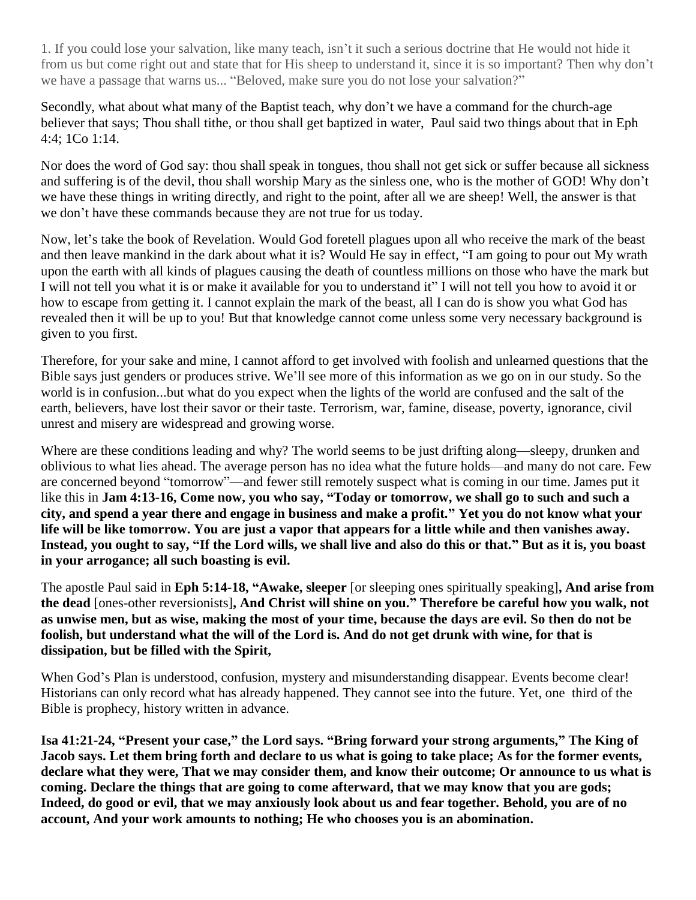1. If you could lose your salvation, like many teach, isn't it such a serious doctrine that He would not hide it from us but come right out and state that for His sheep to understand it, since it is so important? Then why don't we have a passage that warns us... "Beloved, make sure you do not lose your salvation?"

Secondly, what about what many of the Baptist teach, why don't we have a command for the church-age believer that says; Thou shall tithe, or thou shall get baptized in water, Paul said two things about that in Eph 4:4; 1Co 1:14.

Nor does the word of God say: thou shall speak in tongues, thou shall not get sick or suffer because all sickness and suffering is of the devil, thou shall worship Mary as the sinless one, who is the mother of GOD! Why don't we have these things in writing directly, and right to the point, after all we are sheep! Well, the answer is that we don't have these commands because they are not true for us today.

Now, let's take the book of Revelation. Would God foretell plagues upon all who receive the mark of the beast and then leave mankind in the dark about what it is? Would He say in effect, "I am going to pour out My wrath upon the earth with all kinds of plagues causing the death of countless millions on those who have the mark but I will not tell you what it is or make it available for you to understand it" I will not tell you how to avoid it or how to escape from getting it. I cannot explain the mark of the beast, all I can do is show you what God has revealed then it will be up to you! But that knowledge cannot come unless some very necessary background is given to you first.

Therefore, for your sake and mine, I cannot afford to get involved with foolish and unlearned questions that the Bible says just genders or produces strive. We'll see more of this information as we go on in our study. So the world is in confusion...but what do you expect when the lights of the world are confused and the salt of the earth, believers, have lost their savor or their taste. Terrorism, war, famine, disease, poverty, ignorance, civil unrest and misery are widespread and growing worse.

Where are these conditions leading and why? The world seems to be just drifting along—sleepy, drunken and oblivious to what lies ahead. The average person has no idea what the future holds—and many do not care. Few are concerned beyond "tomorrow"—and fewer still remotely suspect what is coming in our time. James put it like this in **Jam 4:13-16, Come now, you who say, "Today or tomorrow, we shall go to such and such a city, and spend a year there and engage in business and make a profit." Yet you do not know what your life will be like tomorrow. You are just a vapor that appears for a little while and then vanishes away. Instead, you ought to say, "If the Lord wills, we shall live and also do this or that." But as it is, you boast in your arrogance; all such boasting is evil.**

The apostle Paul said in **Eph 5:14-18, "Awake, sleeper** [or sleeping ones spiritually speaking]**, And arise from the dead** [ones-other reversionists]**, And Christ will shine on you." Therefore be careful how you walk, not as unwise men, but as wise, making the most of your time, because the days are evil. So then do not be foolish, but understand what the will of the Lord is. And do not get drunk with wine, for that is dissipation, but be filled with the Spirit,**

When God's Plan is understood, confusion, mystery and misunderstanding disappear. Events become clear! Historians can only record what has already happened. They cannot see into the future. Yet, one third of the Bible is prophecy, history written in advance.

**Isa 41:21-24, "Present your case," the Lord says. "Bring forward your strong arguments," The King of Jacob says. Let them bring forth and declare to us what is going to take place; As for the former events, declare what they were, That we may consider them, and know their outcome; Or announce to us what is coming. Declare the things that are going to come afterward, that we may know that you are gods; Indeed, do good or evil, that we may anxiously look about us and fear together. Behold, you are of no account, And your work amounts to nothing; He who chooses you is an abomination.**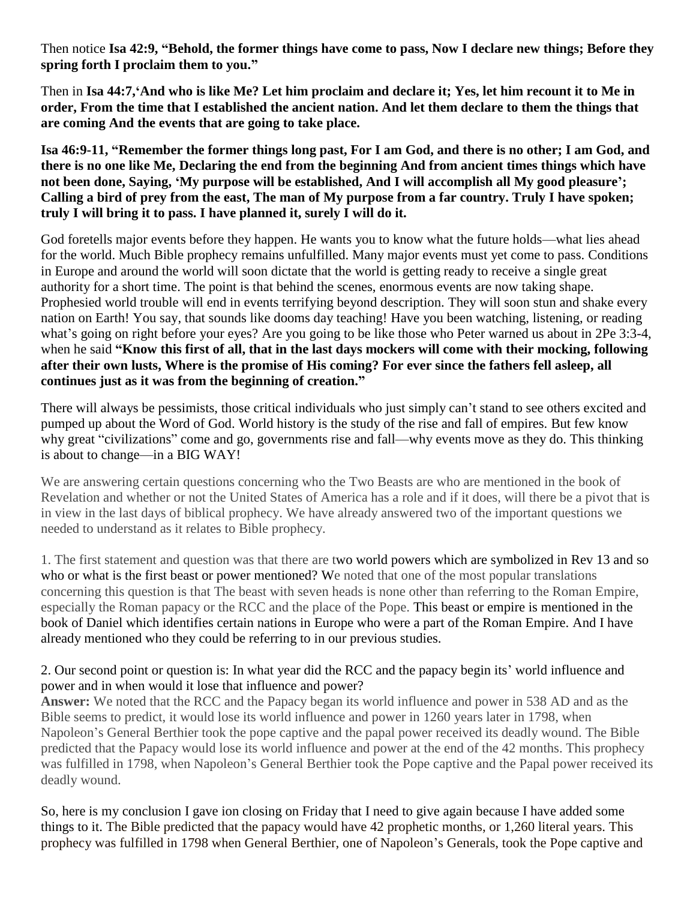Then notice **Isa 42:9, "Behold, the former things have come to pass, Now I declare new things; Before they spring forth I proclaim them to you."**

Then in **Isa 44:7,'And who is like Me? Let him proclaim and declare it; Yes, let him recount it to Me in order, From the time that I established the ancient nation. And let them declare to them the things that are coming And the events that are going to take place.**

**Isa 46:9-11, "Remember the former things long past, For I am God, and there is no other; I am God, and there is no one like Me, Declaring the end from the beginning And from ancient times things which have not been done, Saying, 'My purpose will be established, And I will accomplish all My good pleasure'; Calling a bird of prey from the east, The man of My purpose from a far country. Truly I have spoken; truly I will bring it to pass. I have planned it, surely I will do it.**

God foretells major events before they happen. He wants you to know what the future holds—what lies ahead for the world. Much Bible prophecy remains unfulfilled. Many major events must yet come to pass. Conditions in Europe and around the world will soon dictate that the world is getting ready to receive a single great authority for a short time. The point is that behind the scenes, enormous events are now taking shape. Prophesied world trouble will end in events terrifying beyond description. They will soon stun and shake every nation on Earth! You say, that sounds like dooms day teaching! Have you been watching, listening, or reading what's going on right before your eyes? Are you going to be like those who Peter warned us about in 2Pe 3:3-4, when he said **"Know this first of all, that in the last days mockers will come with their mocking, following after their own lusts, Where is the promise of His coming? For ever since the fathers fell asleep, all continues just as it was from the beginning of creation."**

There will always be pessimists, those critical individuals who just simply can't stand to see others excited and pumped up about the Word of God. World history is the study of the rise and fall of empires. But few know why great "civilizations" come and go, governments rise and fall—why events move as they do. This thinking is about to change—in a BIG WAY!

We are answering certain questions concerning who the Two Beasts are who are mentioned in the book of Revelation and whether or not the United States of America has a role and if it does, will there be a pivot that is in view in the last days of biblical prophecy. We have already answered two of the important questions we needed to understand as it relates to Bible prophecy.

1. The first statement and question was that there are two world powers which are symbolized in Rev 13 and so who or what is the first beast or power mentioned? We noted that one of the most popular translations concerning this question is that The beast with seven heads is none other than referring to the Roman Empire, especially the Roman papacy or the RCC and the place of the Pope. This beast or empire is mentioned in the book of Daniel which identifies certain nations in Europe who were a part of the Roman Empire. And I have already mentioned who they could be referring to in our previous studies.

## 2. Our second point or question is: In what year did the RCC and the papacy begin its' world influence and power and in when would it lose that influence and power?

**Answer:** We noted that the RCC and the Papacy began its world influence and power in 538 AD and as the Bible seems to predict, it would lose its world influence and power in 1260 years later in 1798, when Napoleon's General Berthier took the pope captive and the papal power received its deadly wound. The Bible predicted that the Papacy would lose its world influence and power at the end of the 42 months. This prophecy was fulfilled in 1798, when Napoleon's General Berthier took the Pope captive and the Papal power received its deadly wound.

So, here is my conclusion I gave ion closing on Friday that I need to give again because I have added some things to it. The Bible predicted that the papacy would have 42 prophetic months, or 1,260 literal years. This prophecy was fulfilled in 1798 when General Berthier, one of Napoleon's Generals, took the Pope captive and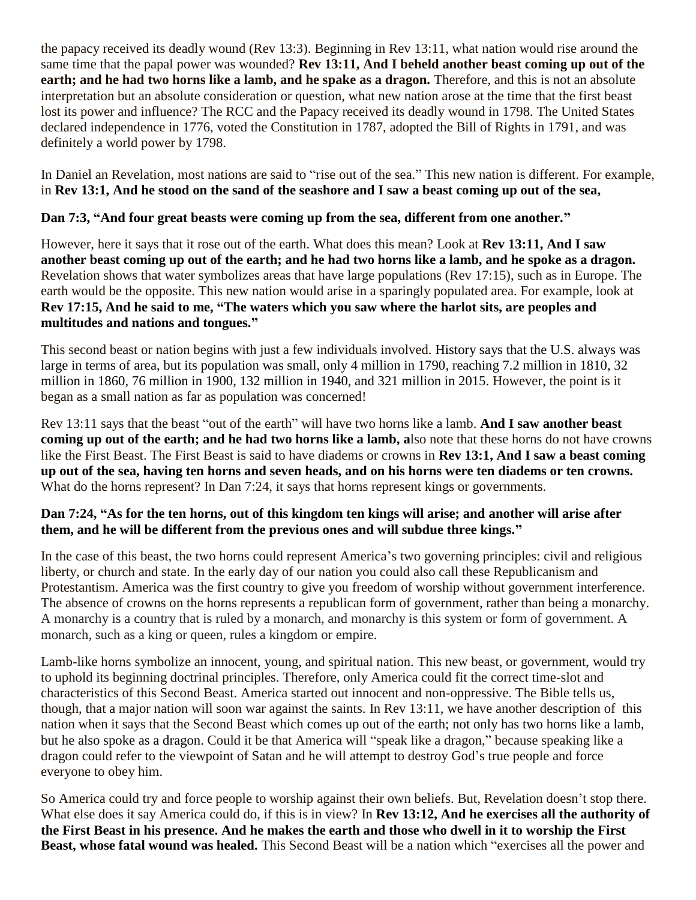the papacy received its deadly wound (Rev 13:3). Beginning in Rev 13:11, what nation would rise around the same time that the papal power was wounded? **Rev 13:11, And I beheld another beast coming up out of the earth; and he had two horns like a lamb, and he spake as a dragon.** Therefore, and this is not an absolute interpretation but an absolute consideration or question, what new nation arose at the time that the first beast lost its power and influence? The RCC and the Papacy received its deadly wound in 1798. The United States declared independence in 1776, voted the Constitution in 1787, adopted the Bill of Rights in 1791, and was definitely a world power by 1798.

In Daniel an Revelation, most nations are said to "rise out of the sea." This new nation is different. For example, in **Rev 13:1, And he stood on the sand of the seashore and I saw a beast coming up out of the sea,**

# **Dan 7:3, "And four great beasts were coming up from the sea, different from one another."**

However, here it says that it rose out of the earth. What does this mean? Look at **Rev 13:11, And I saw another beast coming up out of the earth; and he had two horns like a lamb, and he spoke as a dragon.** Revelation shows that water symbolizes areas that have large populations (Rev 17:15), such as in Europe. The earth would be the opposite. This new nation would arise in a sparingly populated area. For example, look at **Rev 17:15, And he said to me, "The waters which you saw where the harlot sits, are peoples and multitudes and nations and tongues."**

This second beast or nation begins with just a few individuals involved. History says that the U.S. always was large in terms of area, but its population was small, only 4 million in 1790, reaching 7.2 million in 1810, 32 million in 1860, 76 million in 1900, 132 million in 1940, and 321 million in 2015. However, the point is it began as a small nation as far as population was concerned!

Rev 13:11 says that the beast "out of the earth" will have two horns like a lamb. **And I saw another beast coming up out of the earth; and he had two horns like a lamb, also note that these horns do not have crowns** like the First Beast. The First Beast is said to have diadems or crowns in **Rev 13:1, And I saw a beast coming up out of the sea, having ten horns and seven heads, and on his horns were ten diadems or ten crowns.**  What do the horns represent? In Dan 7:24, it says that horns represent kings or governments.

## **Dan 7:24, "As for the ten horns, out of this kingdom ten kings will arise; and another will arise after them, and he will be different from the previous ones and will subdue three kings."**

In the case of this beast, the two horns could represent America's two governing principles: civil and religious liberty, or church and state. In the early day of our nation you could also call these Republicanism and Protestantism. America was the first country to give you freedom of worship without government interference. The absence of crowns on the horns represents a republican form of government, rather than being a monarchy. A monarchy is a country that is ruled by a monarch, and monarchy is this system or form of government. A monarch, such as a king or queen, rules a kingdom or empire.

Lamb-like horns symbolize an innocent, young, and spiritual nation. This new beast, or government, would try to uphold its beginning doctrinal principles. Therefore, only America could fit the correct time-slot and characteristics of this Second Beast. America started out innocent and non-oppressive. The Bible tells us, though, that a major nation will soon war against the saints. In Rev 13:11, we have another description of this nation when it says that the Second Beast which comes up out of the earth; not only has two horns like a lamb, but he also spoke as a dragon. Could it be that America will "speak like a dragon," because speaking like a dragon could refer to the viewpoint of Satan and he will attempt to destroy God's true people and force everyone to obey him.

So America could try and force people to worship against their own beliefs. But, Revelation doesn't stop there. What else does it say America could do, if this is in view? In **Rev 13:12, And he exercises all the authority of the First Beast in his presence. And he makes the earth and those who dwell in it to worship the First Beast, whose fatal wound was healed.** This Second Beast will be a nation which "exercises all the power and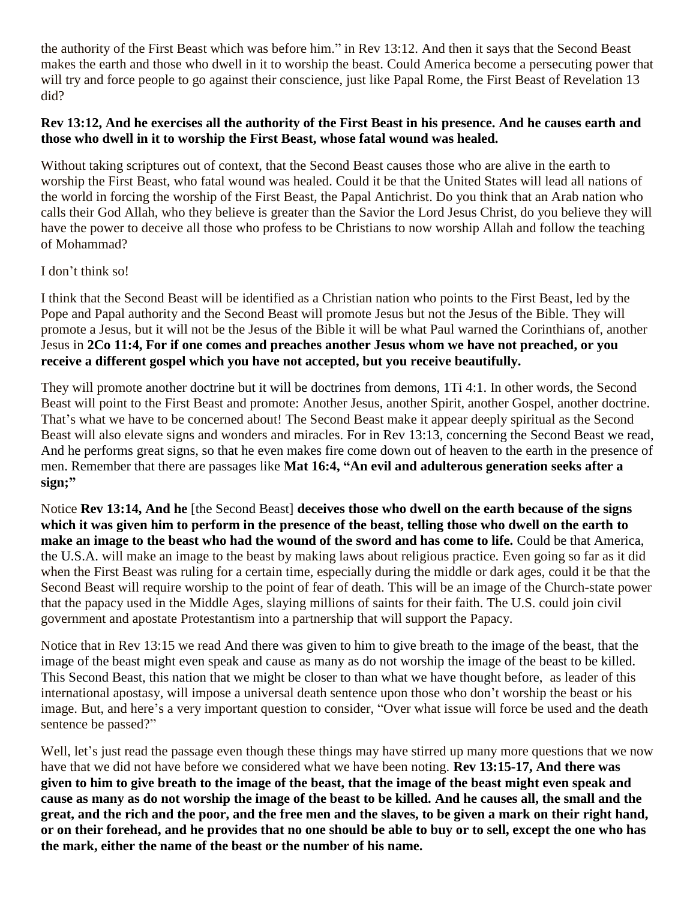the authority of the First Beast which was before him." in Rev 13:12. And then it says that the Second Beast makes the earth and those who dwell in it to worship the beast. Could America become a persecuting power that will try and force people to go against their conscience, just like Papal Rome, the First Beast of Revelation 13 did?

#### **Rev 13:12, And he exercises all the authority of the First Beast in his presence. And he causes earth and those who dwell in it to worship the First Beast, whose fatal wound was healed.**

Without taking scriptures out of context, that the Second Beast causes those who are alive in the earth to worship the First Beast, who fatal wound was healed. Could it be that the United States will lead all nations of the world in forcing the worship of the First Beast, the Papal Antichrist. Do you think that an Arab nation who calls their God Allah, who they believe is greater than the Savior the Lord Jesus Christ, do you believe they will have the power to deceive all those who profess to be Christians to now worship Allah and follow the teaching of Mohammad?

## I don't think so!

I think that the Second Beast will be identified as a Christian nation who points to the First Beast, led by the Pope and Papal authority and the Second Beast will promote Jesus but not the Jesus of the Bible. They will promote a Jesus, but it will not be the Jesus of the Bible it will be what Paul warned the Corinthians of, another Jesus in **2Co 11:4, For if one comes and preaches another Jesus whom we have not preached, or you receive a different gospel which you have not accepted, but you receive beautifully.**

They will promote another doctrine but it will be doctrines from demons, 1Ti 4:1. In other words, the Second Beast will point to the First Beast and promote: Another Jesus, another Spirit, another Gospel, another doctrine. That's what we have to be concerned about! The Second Beast make it appear deeply spiritual as the Second Beast will also elevate signs and wonders and miracles. For in Rev 13:13, concerning the Second Beast we read, And he performs great signs, so that he even makes fire come down out of heaven to the earth in the presence of men. Remember that there are passages like **Mat 16:4, "An evil and adulterous generation seeks after a sign;"**

Notice **Rev 13:14, And he** [the Second Beast] **deceives those who dwell on the earth because of the signs which it was given him to perform in the presence of the beast, telling those who dwell on the earth to make an image to the beast who had the wound of the sword and has come to life.** Could be that America, the U.S.A. will make an image to the beast by making laws about religious practice. Even going so far as it did when the First Beast was ruling for a certain time, especially during the middle or dark ages, could it be that the Second Beast will require worship to the point of fear of death. This will be an image of the Church-state power that the papacy used in the Middle Ages, slaying millions of saints for their faith. The U.S. could join civil government and apostate Protestantism into a partnership that will support the Papacy.

Notice that in Rev 13:15 we read And there was given to him to give breath to the image of the beast, that the image of the beast might even speak and cause as many as do not worship the image of the beast to be killed. This Second Beast, this nation that we might be closer to than what we have thought before, as leader of this international apostasy, will impose a universal death sentence upon those who don't worship the beast or his image. But, and here's a very important question to consider, "Over what issue will force be used and the death sentence be passed?"

Well, let's just read the passage even though these things may have stirred up many more questions that we now have that we did not have before we considered what we have been noting. **Rev 13:15-17, And there was given to him to give breath to the image of the beast, that the image of the beast might even speak and cause as many as do not worship the image of the beast to be killed. And he causes all, the small and the great, and the rich and the poor, and the free men and the slaves, to be given a mark on their right hand, or on their forehead, and he provides that no one should be able to buy or to sell, except the one who has the mark, either the name of the beast or the number of his name.**